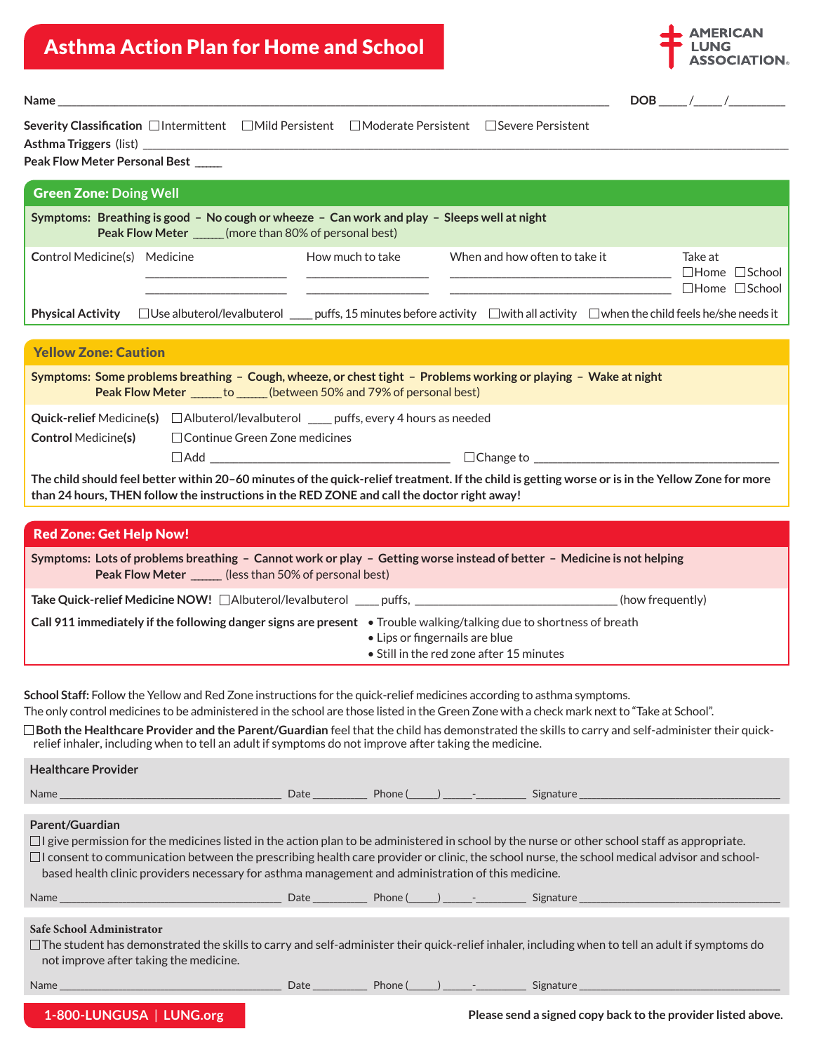## Asthma Action Plan for Home and School



**Name** \_\_\_\_\_\_\_\_\_\_\_\_\_\_\_\_\_\_\_\_\_\_\_\_\_\_\_\_\_\_\_\_\_\_\_\_\_\_\_\_\_\_\_\_\_\_\_\_\_\_\_\_\_\_\_\_\_\_\_\_\_\_\_\_\_\_\_\_\_\_\_\_\_\_\_\_\_\_\_\_\_\_\_\_\_\_\_\_\_\_\_\_\_\_\_\_\_\_\_\_\_\_\_\_\_\_\_\_\_\_\_\_\_\_\_\_\_ **DOB** \_\_\_\_\_\_ /\_\_\_\_\_\_ /\_\_\_\_\_\_\_\_\_\_\_\_

| Severity Classification □ Intermittent □ Mild Persistent □ Moderate Persistent □ Severe Persistent |  |  |
|----------------------------------------------------------------------------------------------------|--|--|
| Asthma Triggers (list)                                                                             |  |  |

| Peak Flow Meter Personal Best       |                                                                                                                                                                                                                                                 |                  |                                                                                                                                                                                                                                                                       |                                                                   |  |
|-------------------------------------|-------------------------------------------------------------------------------------------------------------------------------------------------------------------------------------------------------------------------------------------------|------------------|-----------------------------------------------------------------------------------------------------------------------------------------------------------------------------------------------------------------------------------------------------------------------|-------------------------------------------------------------------|--|
| <b>Green Zone: Doing Well</b>       |                                                                                                                                                                                                                                                 |                  |                                                                                                                                                                                                                                                                       |                                                                   |  |
|                                     | Symptoms: Breathing is good - No cough or wheeze - Can work and play - Sleeps well at night<br>Peak Flow Meter ______(more than 80% of personal best)                                                                                           |                  |                                                                                                                                                                                                                                                                       |                                                                   |  |
| <b>Control Medicine(s)</b> Medicine | the control of the control of the control of the                                                                                                                                                                                                | How much to take | When and how often to take it<br><u> 1989 - Johann Harry Harry Harry Harry Harry Harry Harry Harry Harry Harry Harry Harry Harry Harry Harry Harry Harry Harry Harry Harry Harry Harry Harry Harry Harry Harry Harry Harry Harry Harry Harry Harry Harry Harry Ha</u> | Take at<br>$\Box$ Home $\Box$ School<br>$\Box$ Home $\Box$ School |  |
|                                     | <b>Physical Activity</b> $\Box$ Use albuterol/levalbuterol $\Box$ puffs, 15 minutes before activity $\Box$ with all activity $\Box$ when the child feels he/she needs it                                                                        |                  |                                                                                                                                                                                                                                                                       |                                                                   |  |
|                                     |                                                                                                                                                                                                                                                 |                  |                                                                                                                                                                                                                                                                       |                                                                   |  |
| <b>Yellow Zone: Caution</b>         |                                                                                                                                                                                                                                                 |                  |                                                                                                                                                                                                                                                                       |                                                                   |  |
|                                     | Symptoms: Some problems breathing – Cough, wheeze, or chest tight – Problems working or playing – Wake at night<br>Peak Flow Meter ______ to ______ (between 50% and 79% of personal best)                                                      |                  |                                                                                                                                                                                                                                                                       |                                                                   |  |
| <b>Control Medicine(s)</b>          | <b>Quick-relief</b> Medicine(s) $\Box$ Albuterol/levalbuterol $\Box$ puffs, every 4 hours as needed<br>□ Continue Green Zone medicines                                                                                                          |                  |                                                                                                                                                                                                                                                                       |                                                                   |  |
|                                     |                                                                                                                                                                                                                                                 |                  |                                                                                                                                                                                                                                                                       |                                                                   |  |
|                                     | The child should feel better within 20-60 minutes of the quick-relief treatment. If the child is getting worse or is in the Yellow Zone for more<br>than 24 hours, THEN follow the instructions in the RED ZONE and call the doctor right away! |                  |                                                                                                                                                                                                                                                                       |                                                                   |  |
|                                     |                                                                                                                                                                                                                                                 |                  |                                                                                                                                                                                                                                                                       |                                                                   |  |
| <b>Red Zone: Get Help Now!</b>      |                                                                                                                                                                                                                                                 |                  |                                                                                                                                                                                                                                                                       |                                                                   |  |
|                                     | Symptoms: Lots of problems breathing - Cannot work or play - Getting worse instead of better - Medicine is not belojng                                                                                                                          |                  |                                                                                                                                                                                                                                                                       |                                                                   |  |

| Symptoms: Lots of problems breathing - Cannot work or play - Getting worse instead of better - Medicine is not helping<br><b>Peak Flow Meter</b> (less than 50% of personal best) |                                          |
|-----------------------------------------------------------------------------------------------------------------------------------------------------------------------------------|------------------------------------------|
|                                                                                                                                                                                   | (how frequently)                         |
| Call 911 immediately if the following danger signs are present • Trouble walking/talking due to shortness of breath                                                               |                                          |
|                                                                                                                                                                                   | • Lips or fingernails are blue           |
|                                                                                                                                                                                   | • Still in the red zone after 15 minutes |

**School Staff:** Follow the Yellow and Red Zone instructions for the quick-relief medicines according to asthma symptoms. The only control medicines to be administered in the school are those listed in the Green Zone with a check mark next to "Take at School".

 **Both the Healthcare Provider and the Parent/Guardian** feel that the child has demonstrated the skills to carry and self-administer their quickrelief inhaler, including when to tell an adult if symptoms do not improve after taking the medicine.

| <b>Healthcare Provider</b>                                                                                                                                                                                                                                                           |  |                                                                                                                                                        |
|--------------------------------------------------------------------------------------------------------------------------------------------------------------------------------------------------------------------------------------------------------------------------------------|--|--------------------------------------------------------------------------------------------------------------------------------------------------------|
|                                                                                                                                                                                                                                                                                      |  |                                                                                                                                                        |
| <b>Parent/Guardian</b><br>$\Box$ I give permission for the medicines listed in the action plan to be administered in school by the nurse or other school staff as appropriate.<br>based health clinic providers necessary for asthma management and administration of this medicine. |  | $\Box$ I consent to communication between the prescribing health care provider or clinic, the school nurse, the school medical advisor and school-     |
|                                                                                                                                                                                                                                                                                      |  |                                                                                                                                                        |
| Safe School Administrator<br>not improve after taking the medicine.                                                                                                                                                                                                                  |  | $\Box$ The student has demonstrated the skills to carry and self-administer their quick-relief inhaler, including when to tell an adult if symptoms do |
|                                                                                                                                                                                                                                                                                      |  |                                                                                                                                                        |

## **1-800-LUNGUSA** | **LUNG.org**